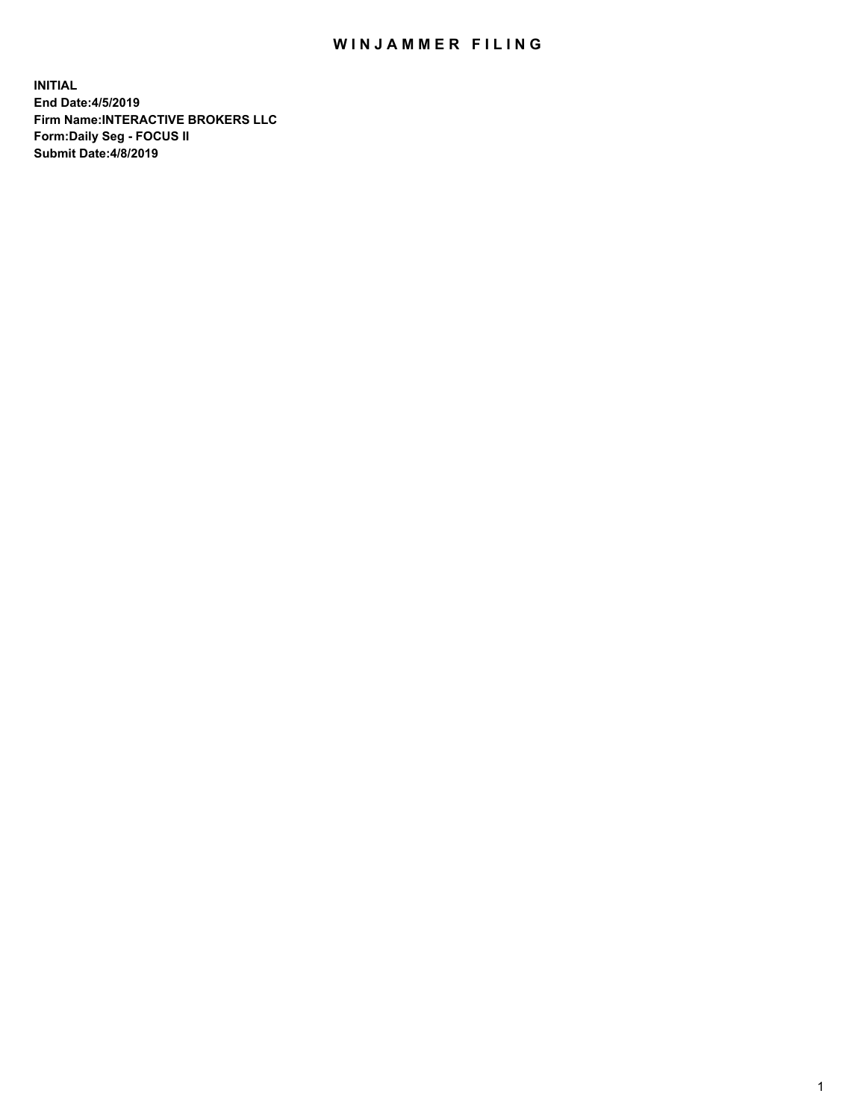## WIN JAMMER FILING

**INITIAL End Date:4/5/2019 Firm Name:INTERACTIVE BROKERS LLC Form:Daily Seg - FOCUS II Submit Date:4/8/2019**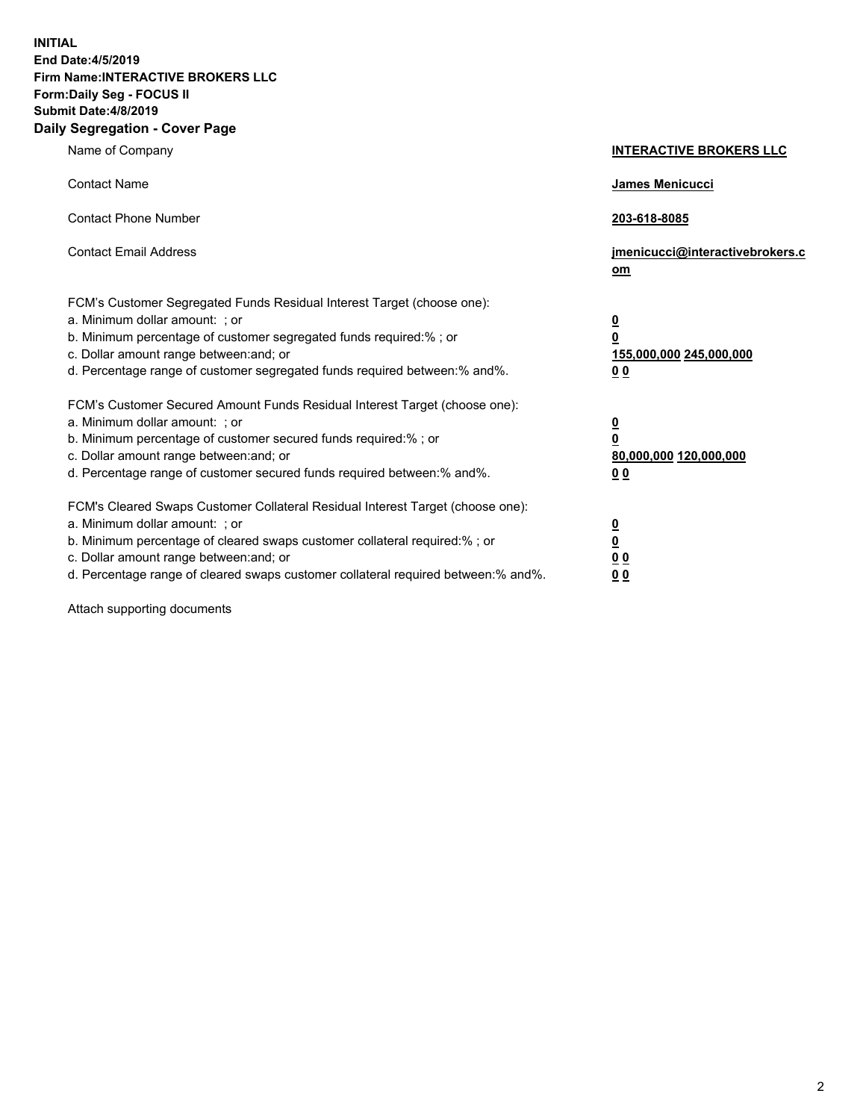**INITIAL End Date:4/5/2019 Firm Name:INTERACTIVE BROKERS LLC Form:Daily Seg - FOCUS II Submit Date:4/8/2019 Daily Segregation - Cover Page**

| Name of Company                                                                                                                                                                                                                                                                                                                | <b>INTERACTIVE BROKERS LLC</b>                                                      |
|--------------------------------------------------------------------------------------------------------------------------------------------------------------------------------------------------------------------------------------------------------------------------------------------------------------------------------|-------------------------------------------------------------------------------------|
| <b>Contact Name</b>                                                                                                                                                                                                                                                                                                            | James Menicucci                                                                     |
| <b>Contact Phone Number</b>                                                                                                                                                                                                                                                                                                    | 203-618-8085                                                                        |
| <b>Contact Email Address</b>                                                                                                                                                                                                                                                                                                   | jmenicucci@interactivebrokers.c<br>om                                               |
| FCM's Customer Segregated Funds Residual Interest Target (choose one):<br>a. Minimum dollar amount: ; or<br>b. Minimum percentage of customer segregated funds required:% ; or<br>c. Dollar amount range between: and; or<br>d. Percentage range of customer segregated funds required between:% and%.                         | $\overline{\mathbf{0}}$<br>$\overline{\mathbf{0}}$<br>155,000,000 245,000,000<br>00 |
| FCM's Customer Secured Amount Funds Residual Interest Target (choose one):<br>a. Minimum dollar amount: ; or<br>b. Minimum percentage of customer secured funds required:% ; or<br>c. Dollar amount range between: and; or<br>d. Percentage range of customer secured funds required between:% and%.                           | $\overline{\mathbf{0}}$<br>$\pmb{0}$<br>80,000,000 120,000,000<br>00                |
| FCM's Cleared Swaps Customer Collateral Residual Interest Target (choose one):<br>a. Minimum dollar amount: ; or<br>b. Minimum percentage of cleared swaps customer collateral required:% ; or<br>c. Dollar amount range between: and; or<br>d. Percentage range of cleared swaps customer collateral required between:% and%. | <u>0</u><br><u>0</u><br>0 <sub>0</sub><br>0 <sub>0</sub>                            |

Attach supporting documents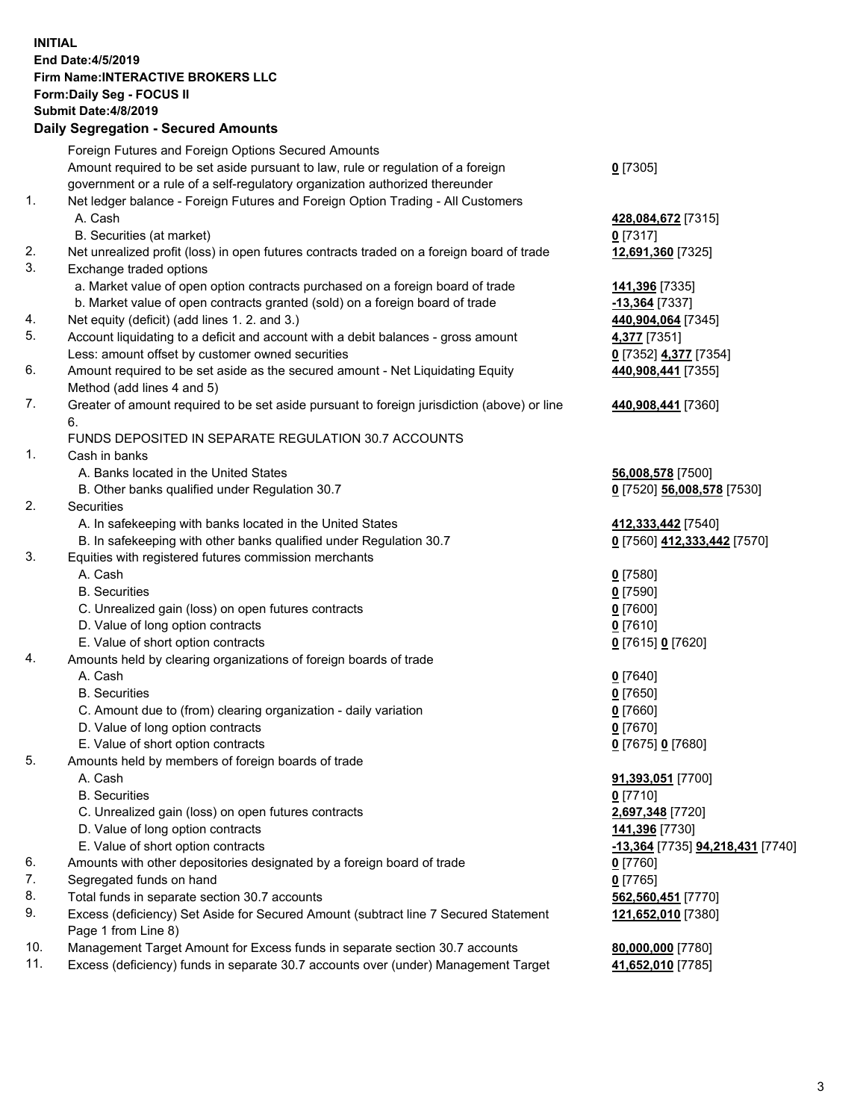## **INITIAL End Date:4/5/2019 Firm Name:INTERACTIVE BROKERS LLC Form:Daily Seg - FOCUS II Submit Date:4/8/2019 Daily Segregation - Secured Amounts**

|     | 2011, Ocgi ogation - Oceaned Anioanita                                                                     |                                                      |
|-----|------------------------------------------------------------------------------------------------------------|------------------------------------------------------|
|     | Foreign Futures and Foreign Options Secured Amounts                                                        |                                                      |
|     | Amount required to be set aside pursuant to law, rule or regulation of a foreign                           | $0$ [7305]                                           |
|     | government or a rule of a self-regulatory organization authorized thereunder                               |                                                      |
| 1.  | Net ledger balance - Foreign Futures and Foreign Option Trading - All Customers                            |                                                      |
|     | A. Cash                                                                                                    | 428,084,672 [7315]                                   |
|     | B. Securities (at market)                                                                                  | $0$ [7317]                                           |
| 2.  | Net unrealized profit (loss) in open futures contracts traded on a foreign board of trade                  | 12,691,360 [7325]                                    |
| 3.  | Exchange traded options                                                                                    |                                                      |
|     | a. Market value of open option contracts purchased on a foreign board of trade                             | 141,396 [7335]                                       |
|     | b. Market value of open contracts granted (sold) on a foreign board of trade                               | $-13,364$ [7337]                                     |
| 4.  | Net equity (deficit) (add lines 1. 2. and 3.)                                                              | 440,904,064 [7345]                                   |
| 5.  | Account liquidating to a deficit and account with a debit balances - gross amount                          | 4,377 [7351]                                         |
|     | Less: amount offset by customer owned securities                                                           | 0 [7352] 4,377 [7354]                                |
| 6.  | Amount required to be set aside as the secured amount - Net Liquidating Equity                             | 440,908,441 [7355]                                   |
|     | Method (add lines 4 and 5)                                                                                 |                                                      |
| 7.  | Greater of amount required to be set aside pursuant to foreign jurisdiction (above) or line                | 440,908,441 [7360]                                   |
|     | 6.                                                                                                         |                                                      |
|     | FUNDS DEPOSITED IN SEPARATE REGULATION 30.7 ACCOUNTS                                                       |                                                      |
| 1.  | Cash in banks                                                                                              |                                                      |
|     | A. Banks located in the United States                                                                      | 56,008,578 [7500]                                    |
|     | B. Other banks qualified under Regulation 30.7                                                             | 0 [7520] 56,008,578 [7530]                           |
| 2.  | Securities                                                                                                 |                                                      |
|     | A. In safekeeping with banks located in the United States                                                  | 412,333,442 [7540]                                   |
|     | B. In safekeeping with other banks qualified under Regulation 30.7                                         | 0 [7560] 412,333,442 [7570]                          |
| 3.  | Equities with registered futures commission merchants                                                      |                                                      |
|     | A. Cash                                                                                                    | $0$ [7580]                                           |
|     | <b>B.</b> Securities                                                                                       | $0$ [7590]                                           |
|     | C. Unrealized gain (loss) on open futures contracts                                                        | $0$ [7600]                                           |
|     | D. Value of long option contracts                                                                          | $0$ [7610]                                           |
|     | E. Value of short option contracts                                                                         | 0 [7615] 0 [7620]                                    |
| 4.  | Amounts held by clearing organizations of foreign boards of trade                                          |                                                      |
|     | A. Cash                                                                                                    | $0$ [7640]                                           |
|     | <b>B.</b> Securities                                                                                       | $0$ [7650]                                           |
|     | C. Amount due to (from) clearing organization - daily variation                                            | $0$ [7660]                                           |
|     | D. Value of long option contracts                                                                          | $0$ [7670]                                           |
|     | E. Value of short option contracts                                                                         | 0 [7675] 0 [7680]                                    |
| 5.  | Amounts held by members of foreign boards of trade                                                         |                                                      |
|     | A. Cash                                                                                                    | 91,393,051 [7700]                                    |
|     | <b>B.</b> Securities                                                                                       | $0$ [7710]                                           |
|     | C. Unrealized gain (loss) on open futures contracts                                                        | 2,697,348 [7720]                                     |
|     | D. Value of long option contracts                                                                          | 141,396 [7730]                                       |
|     | E. Value of short option contracts                                                                         | <mark>-13,364</mark> [7735] <b>94,218,431</b> [7740] |
| 6.  | Amounts with other depositories designated by a foreign board of trade                                     | <u>0</u> [7760]                                      |
| 7.  | Segregated funds on hand                                                                                   | $0$ [7765]                                           |
| 8.  | Total funds in separate section 30.7 accounts                                                              | 562,560,451 [7770]                                   |
| 9.  | Excess (deficiency) Set Aside for Secured Amount (subtract line 7 Secured Statement<br>Page 1 from Line 8) | 121,652,010 [7380]                                   |
| 10. | Management Target Amount for Excess funds in separate section 30.7 accounts                                | 80,000,000 [7780]                                    |
| 11. | Excess (deficiency) funds in separate 30.7 accounts over (under) Management Target                         | 41,652,010 [7785]                                    |
|     |                                                                                                            |                                                      |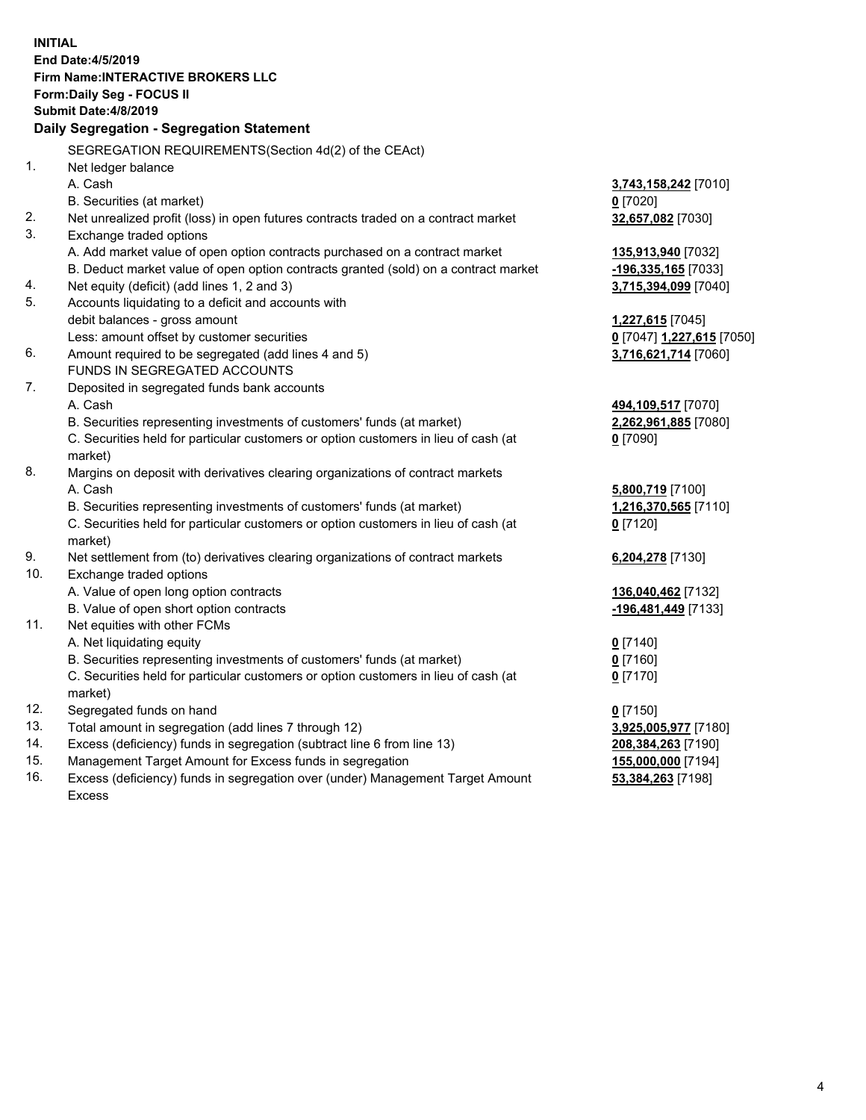| <b>INITIAL</b> |                                                                                     |                           |
|----------------|-------------------------------------------------------------------------------------|---------------------------|
|                | End Date: 4/5/2019                                                                  |                           |
|                | Firm Name: INTERACTIVE BROKERS LLC                                                  |                           |
|                | Form: Daily Seg - FOCUS II                                                          |                           |
|                | <b>Submit Date: 4/8/2019</b>                                                        |                           |
|                | Daily Segregation - Segregation Statement                                           |                           |
|                | SEGREGATION REQUIREMENTS(Section 4d(2) of the CEAct)                                |                           |
| 1.             | Net ledger balance                                                                  |                           |
|                | A. Cash                                                                             | 3,743,158,242 [7010]      |
|                | B. Securities (at market)                                                           | $0$ [7020]                |
| 2.             | Net unrealized profit (loss) in open futures contracts traded on a contract market  |                           |
| 3.             | Exchange traded options                                                             | 32,657,082 [7030]         |
|                | A. Add market value of open option contracts purchased on a contract market         | 135,913,940 [7032]        |
|                | B. Deduct market value of open option contracts granted (sold) on a contract market | -196,335,165 [7033]       |
| 4.             | Net equity (deficit) (add lines 1, 2 and 3)                                         | 3,715,394,099 [7040]      |
| 5.             | Accounts liquidating to a deficit and accounts with                                 |                           |
|                | debit balances - gross amount                                                       | 1,227,615 [7045]          |
|                | Less: amount offset by customer securities                                          | 0 [7047] 1,227,615 [7050] |
| 6.             | Amount required to be segregated (add lines 4 and 5)                                | 3,716,621,714 [7060]      |
|                | FUNDS IN SEGREGATED ACCOUNTS                                                        |                           |
| 7.             | Deposited in segregated funds bank accounts                                         |                           |
|                | A. Cash                                                                             | 494,109,517 [7070]        |
|                | B. Securities representing investments of customers' funds (at market)              | 2,262,961,885 [7080]      |
|                | C. Securities held for particular customers or option customers in lieu of cash (at | $0$ [7090]                |
|                | market)                                                                             |                           |
| 8.             | Margins on deposit with derivatives clearing organizations of contract markets      |                           |
|                | A. Cash                                                                             | 5,800,719 [7100]          |
|                | B. Securities representing investments of customers' funds (at market)              | 1,216,370,565 [7110]      |
|                | C. Securities held for particular customers or option customers in lieu of cash (at | $0$ [7120]                |
|                | market)                                                                             |                           |
| 9.             | Net settlement from (to) derivatives clearing organizations of contract markets     | 6,204,278 [7130]          |
| 10.            | Exchange traded options                                                             |                           |
|                | A. Value of open long option contracts                                              | 136,040,462 [7132]        |
|                | B. Value of open short option contracts                                             | -196,481,449 [7133]       |
| 11.            | Net equities with other FCMs                                                        |                           |
|                | A. Net liquidating equity                                                           | $0$ [7140]                |
|                | B. Securities representing investments of customers' funds (at market)              | $0$ [7160]                |
|                | C. Securities held for particular customers or option customers in lieu of cash (at | $0$ [7170]                |
|                | market)                                                                             |                           |
| 12.            | Segregated funds on hand                                                            | $0$ [7150]                |
| 13.            | Total amount in segregation (add lines 7 through 12)                                | 3,925,005,977 [7180]      |
| 14.            | Excess (deficiency) funds in segregation (subtract line 6 from line 13)             | 208,384,263 [7190]        |
| 15.            | Management Target Amount for Excess funds in segregation                            | 155,000,000 [7194]        |
| 1C             | المستوجب والمستحدث والمستنبية الأرباء والمتحدث والمتلوي والمناوي                    | <b>20.304.000.174001</b>  |

16. Excess (deficiency) funds in segregation over (under) Management Target Amount Excess

**53,384,263** [7198]